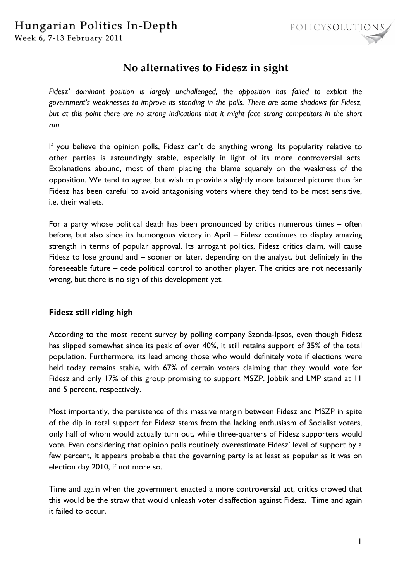

# **No alternatives to Fidesz in sight**

*Fidesz' dominant position is largely unchallenged, the opposition has failed to exploit the government's weaknesses to improve its standing in the polls. There are some shadows for Fidesz, but at this point there are no strong indications that it might face strong competitors in the short run.* 

If you believe the opinion polls, Fidesz can't do anything wrong. Its popularity relative to other parties is astoundingly stable, especially in light of its more controversial acts. Explanations abound, most of them placing the blame squarely on the weakness of the opposition. We tend to agree, but wish to provide a slightly more balanced picture: thus far Fidesz has been careful to avoid antagonising voters where they tend to be most sensitive, i.e. their wallets.

For a party whose political death has been pronounced by critics numerous times – often before, but also since its humongous victory in April – Fidesz continues to display amazing strength in terms of popular approval. Its arrogant politics, Fidesz critics claim, will cause Fidesz to lose ground and – sooner or later, depending on the analyst, but definitely in the foreseeable future – cede political control to another player. The critics are not necessarily wrong, but there is no sign of this development yet.

### **Fidesz still riding high**

According to the most recent survey by polling company Szonda-Ipsos, even though Fidesz has slipped somewhat since its peak of over 40%, it still retains support of 35% of the total population. Furthermore, its lead among those who would definitely vote if elections were held today remains stable, with 67% of certain voters claiming that they would vote for Fidesz and only 17% of this group promising to support MSZP. Jobbik and LMP stand at 11 and 5 percent, respectively.

Most importantly, the persistence of this massive margin between Fidesz and MSZP in spite of the dip in total support for Fidesz stems from the lacking enthusiasm of Socialist voters, only half of whom would actually turn out, while three-quarters of Fidesz supporters would vote. Even considering that opinion polls routinely overestimate Fidesz' level of support by a few percent, it appears probable that the governing party is at least as popular as it was on election day 2010, if not more so.

Time and again when the government enacted a more controversial act, critics crowed that this would be the straw that would unleash voter disaffection against Fidesz. Time and again it failed to occur.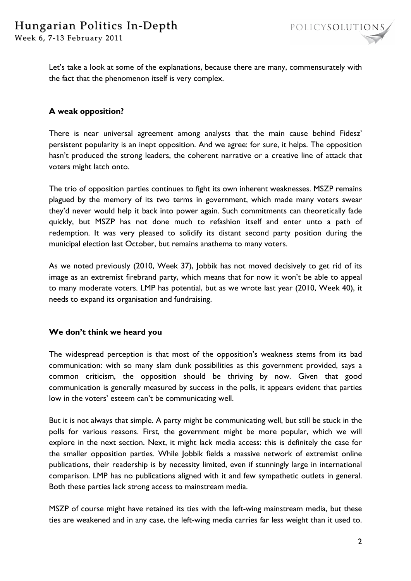Let's take a look at some of the explanations, because there are many, commensurately with the fact that the phenomenon itself is very complex.

# **A weak opposition?**

There is near universal agreement among analysts that the main cause behind Fidesz' persistent popularity is an inept opposition. And we agree: for sure, it helps. The opposition hasn't produced the strong leaders, the coherent narrative or a creative line of attack that voters might latch onto.

The trio of opposition parties continues to fight its own inherent weaknesses. MSZP remains plagued by the memory of its two terms in government, which made many voters swear they'd never would help it back into power again. Such commitments can theoretically fade quickly, but MSZP has not done much to refashion itself and enter unto a path of redemption. It was very pleased to solidify its distant second party position during the municipal election last October, but remains anathema to many voters.

As we noted previously (2010, Week 37), Jobbik has not moved decisively to get rid of its image as an extremist firebrand party, which means that for now it won't be able to appeal to many moderate voters. LMP has potential, but as we wrote last year (2010, Week 40), it needs to expand its organisation and fundraising.

### **We don't think we heard you**

The widespread perception is that most of the opposition's weakness stems from its bad communication: with so many slam dunk possibilities as this government provided, says a common criticism, the opposition should be thriving by now. Given that good communication is generally measured by success in the polls, it appears evident that parties low in the voters' esteem can't be communicating well.

But it is not always that simple. A party might be communicating well, but still be stuck in the polls for various reasons. First, the government might be more popular, which we will explore in the next section. Next, it might lack media access: this is definitely the case for the smaller opposition parties. While Jobbik fields a massive network of extremist online publications, their readership is by necessity limited, even if stunningly large in international comparison. LMP has no publications aligned with it and few sympathetic outlets in general. Both these parties lack strong access to mainstream media.

MSZP of course might have retained its ties with the left-wing mainstream media, but these ties are weakened and in any case, the left-wing media carries far less weight than it used to.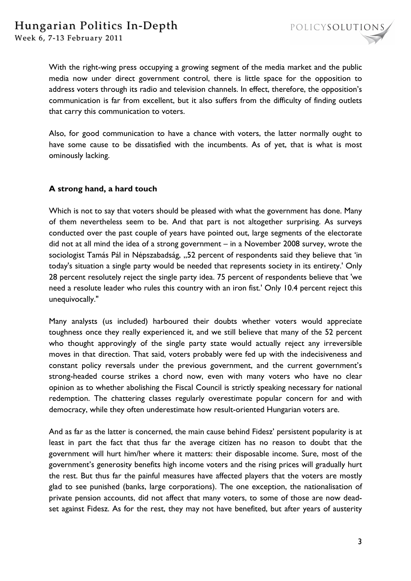

With the right-wing press occupying a growing segment of the media market and the public media now under direct government control, there is little space for the opposition to address voters through its radio and television channels. In effect, therefore, the opposition's communication is far from excellent, but it also suffers from the difficulty of finding outlets that carry this communication to voters.

Also, for good communication to have a chance with voters, the latter normally ought to have some cause to be dissatisfied with the incumbents. As of yet, that is what is most ominously lacking.

# **A strong hand, a hard touch**

Which is not to say that voters should be pleased with what the government has done. Many of them nevertheless seem to be. And that part is not altogether surprising. As surveys conducted over the past couple of years have pointed out, large segments of the electorate did not at all mind the idea of a strong government – in a November 2008 survey, wrote the sociologist Tamás Pál in Népszabadság, "52 percent of respondents said they believe that 'in today's situation a single party would be needed that represents society in its entirety.' Only 28 percent resolutely reject the single party idea. 75 percent of respondents believe that 'we need a resolute leader who rules this country with an iron fist.' Only 10.4 percent reject this unequivocally."

Many analysts (us included) harboured their doubts whether voters would appreciate toughness once they really experienced it, and we still believe that many of the 52 percent who thought approvingly of the single party state would actually reject any irreversible moves in that direction. That said, voters probably were fed up with the indecisiveness and constant policy reversals under the previous government, and the current government's strong-headed course strikes a chord now, even with many voters who have no clear opinion as to whether abolishing the Fiscal Council is strictly speaking necessary for national redemption. The chattering classes regularly overestimate popular concern for and with democracy, while they often underestimate how result-oriented Hungarian voters are.

And as far as the latter is concerned, the main cause behind Fidesz' persistent popularity is at least in part the fact that thus far the average citizen has no reason to doubt that the government will hurt him/her where it matters: their disposable income. Sure, most of the government's generosity benefits high income voters and the rising prices will gradually hurt the rest. But thus far the painful measures have affected players that the voters are mostly glad to see punished (banks, large corporations). The one exception, the nationalisation of private pension accounts, did not affect that many voters, to some of those are now deadset against Fidesz. As for the rest, they may not have benefited, but after years of austerity